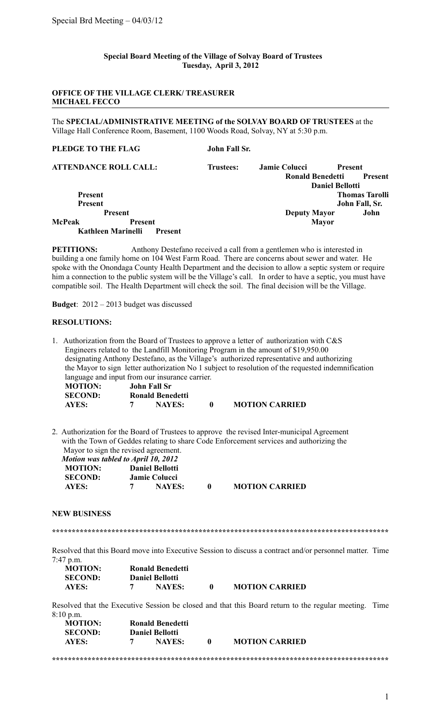## **Special Board Meeting of the Village of Solvay Board of Trustees Tuesday, April 3, 2012**

## **OFFICE OF THE VILLAGE CLERK/ TREASURER MICHAEL FECCO**

The **SPECIAL/ADMINISTRATIVE MEETING of the SOLVAY BOARD OF TRUSTEES** at the Village Hall Conference Room, Basement, 1100 Woods Road, Solvay, NY at 5:30 p.m.

# **PLEDGE TO THE FLAG John Fall Sr.**

|                | <b>ATTENDANCE ROLL CALL:</b>         | <b>Trustees:</b> | <b>Jamie Colucci</b>    | <b>Present</b>         |
|----------------|--------------------------------------|------------------|-------------------------|------------------------|
|                |                                      |                  | <b>Ronald Benedetti</b> | <b>Present</b>         |
|                |                                      |                  |                         | <b>Daniel Bellotti</b> |
| <b>Present</b> |                                      |                  |                         | <b>Thomas Tarolli</b>  |
| <b>Present</b> |                                      |                  |                         | John Fall, Sr.         |
|                | <b>Present</b>                       |                  | <b>Deputy Mayor</b>     | John                   |
| McPeak         | <b>Present</b>                       |                  | <b>Mayor</b>            |                        |
|                | Kathleen Marinelli<br><b>Present</b> |                  |                         |                        |

**PETITIONS:** Anthony Destefano received a call from a gentlemen who is interested in building a one family home on 104 West Farm Road. There are concerns about sewer and water. He spoke with the Onondaga County Health Department and the decision to allow a septic system or require him a connection to the public system will be the Village's call. In order to have a septic, you must have compatible soil. The Health Department will check the soil. The final decision will be the Village.

**Budget**: 2012 – 2013 budget was discussed

### **RESOLUTIONS:**

1. Authorization from the Board of Trustees to approve a letter of authorization with C&S Engineers related to the Landfill Monitoring Program in the amount of \$19,950.00 designating Anthony Destefano, as the Village's authorized representative and authorizing the Mayor to sign letter authorization No 1 subject to resolution of the requested indemnification language and input from our insurance carrier. **MOTION: John Fall Sr**

| <b>SECOND:</b> | <b>Ronald Benedetti</b> |                       |
|----------------|-------------------------|-----------------------|
| <b>AYES:</b>   | <b>NAYES:</b>           | <b>MOTION CARRIED</b> |

2. Authorization for the Board of Trustees to approve the revised Inter-municipal Agreement with the Town of Geddes relating to share Code Enforcement services and authorizing the Mayor to sign the revised agreement.

| Motion was tabled to April 10, 2012 |                        |           |                       |
|-------------------------------------|------------------------|-----------|-----------------------|
| <b>MOTION:</b>                      | <b>Daniel Bellotti</b> |           |                       |
| <b>SECOND:</b>                      | <b>Jamie Colucci</b>   |           |                       |
| AYES:                               | <b>NAYES:</b>          | $\bullet$ | <b>MOTION CARRIED</b> |

#### **NEW BUSINESS**

**\*\*\*\*\*\*\*\*\*\*\*\*\*\*\*\*\*\*\*\*\*\*\*\*\*\*\*\*\*\*\*\*\*\*\*\*\*\*\*\*\*\*\*\*\*\*\*\*\*\*\*\*\*\*\*\*\*\*\*\*\*\*\*\*\*\*\*\*\*\*\*\*\*\*\*\*\*\*\*\*\*\*\*\*\***

Resolved that this Board move into Executive Session to discuss a contract and/or personnel matter. Time 7:47 p.m.

| <b>MOTION:</b> | <b>Ronald Benedetti</b> |                       |
|----------------|-------------------------|-----------------------|
| <b>SECOND:</b> | <b>Daniel Bellotti</b>  |                       |
| AYES:          | <b>NAYES:</b>           | <b>MOTION CARRIED</b> |

Resolved that the Executive Session be closed and that this Board return to the regular meeting. Time 8:10 p.m.

**\*\*\*\*\*\*\*\*\*\*\*\*\*\*\*\*\*\*\*\*\*\*\*\*\*\*\*\*\*\*\*\*\*\*\*\*\*\*\*\*\*\*\*\*\*\*\*\*\*\*\*\*\*\*\*\*\*\*\*\*\*\*\*\*\*\*\*\*\*\*\*\*\*\*\*\*\*\*\*\*\*\*\*\*\***

| <b>MOTION:</b><br><b>SECOND:</b> | <b>Ronald Benedetti</b><br><b>Daniel Bellotti</b> |                       |  |
|----------------------------------|---------------------------------------------------|-----------------------|--|
| AYES:                            | <b>NAYES:</b>                                     | <b>MOTION CARRIED</b> |  |
|                                  |                                                   |                       |  |

1